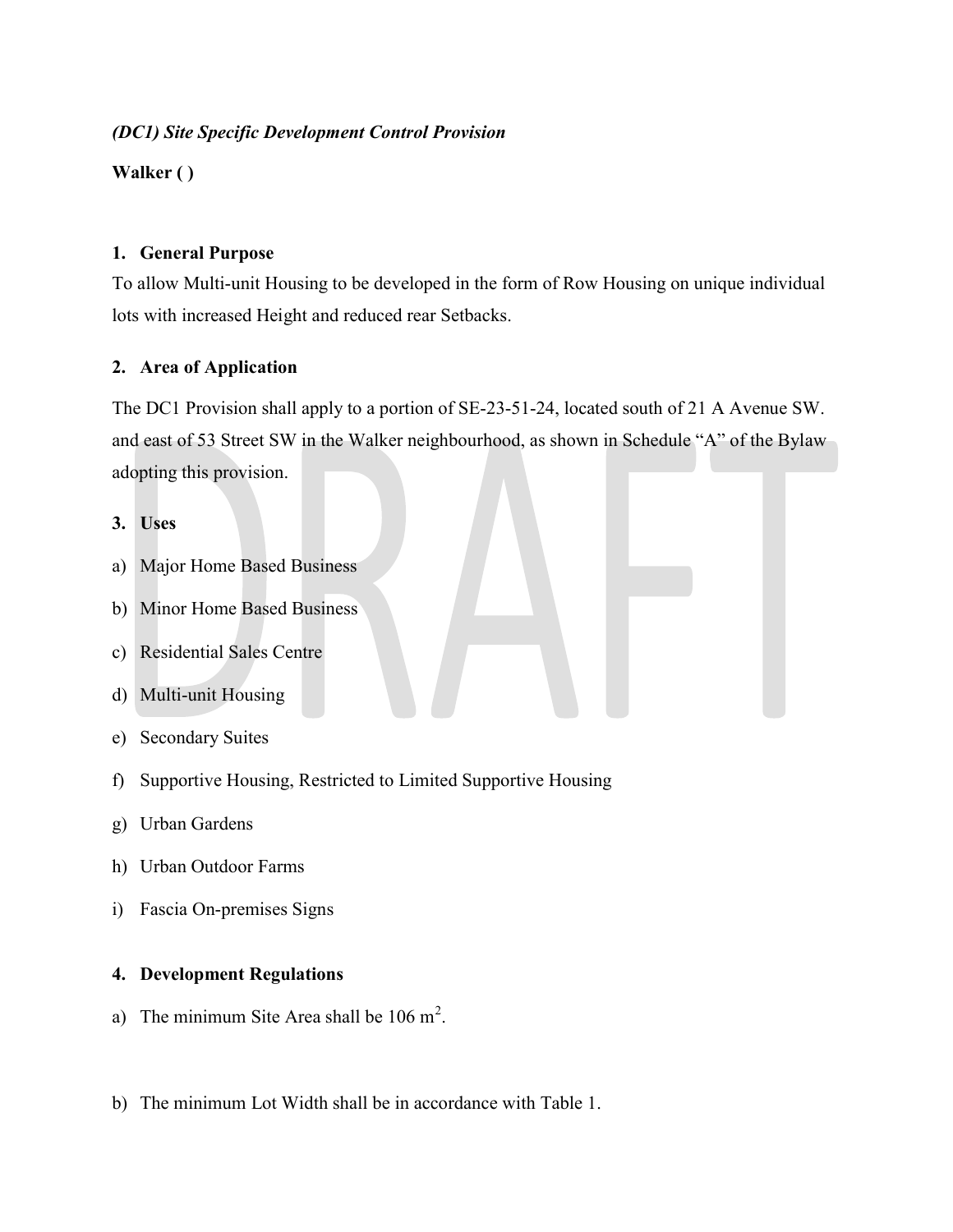# (DC1) Site Specific Development Control Provision

Walker ( )

#### 1. General Purpose

To allow Multi-unit Housing to be developed in the form of Row Housing on unique individual lots with increased Height and reduced rear Setbacks.

# 2. Area of Application

The DC1 Provision shall apply to a portion of SE-23-51-24, located south of 21 A Avenue SW. and east of 53 Street SW in the Walker neighbourhood, as shown in Schedule "A" of the Bylaw adopting this provision.

#### 3. Uses

- a) Major Home Based Business
- b) Minor Home Based Business
- c) Residential Sales Centre
- d) Multi-unit Housing
- e) Secondary Suites
- f) Supportive Housing, Restricted to Limited Supportive Housing
- g) Urban Gardens
- h) Urban Outdoor Farms
- i) Fascia On-premises Signs

# 4. Development Regulations

- a) The minimum Site Area shall be  $106 \text{ m}^2$ .
- b) The minimum Lot Width shall be in accordance with Table 1.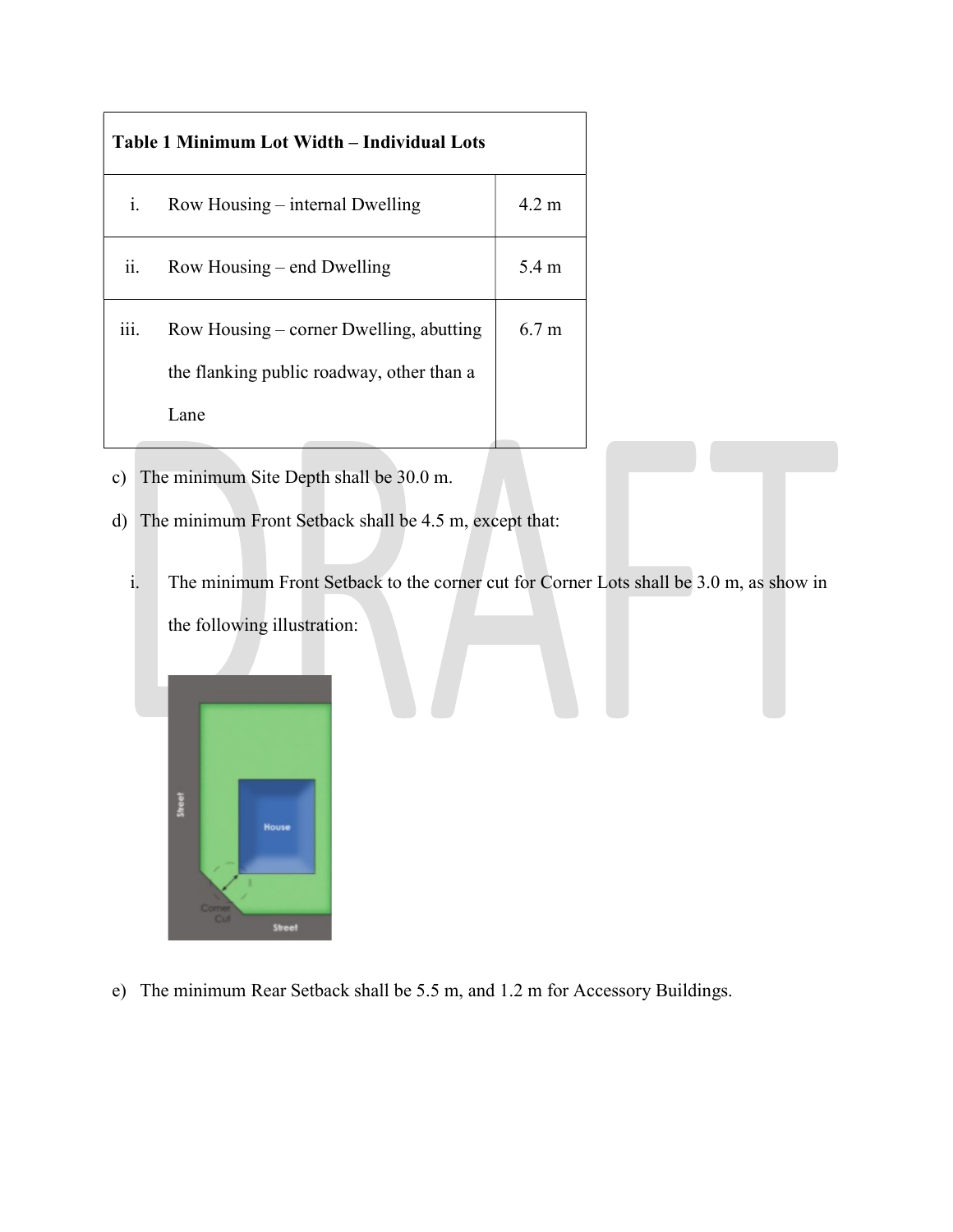| Table 1 Minimum Lot Width – Individual Lots |                                                                                               |                     |
|---------------------------------------------|-----------------------------------------------------------------------------------------------|---------------------|
| i.                                          | Row Housing – internal Dwelling                                                               | $4.2 \; \mathrm{m}$ |
| ii.                                         | Row Housing – end Dwelling                                                                    | 5.4 m               |
| iii.                                        | Row Housing – corner Dwelling, abutting<br>the flanking public roadway, other than a<br>Lane. | 6.7 <sub>m</sub>    |

- c) The minimum Site Depth shall be 30.0 m.
- d) The minimum Front Setback shall be 4.5 m, except that:
	- i. The minimum Front Setback to the corner cut for Corner Lots shall be 3.0 m, as show in the following illustration:



e) The minimum Rear Setback shall be 5.5 m, and 1.2 m for Accessory Buildings.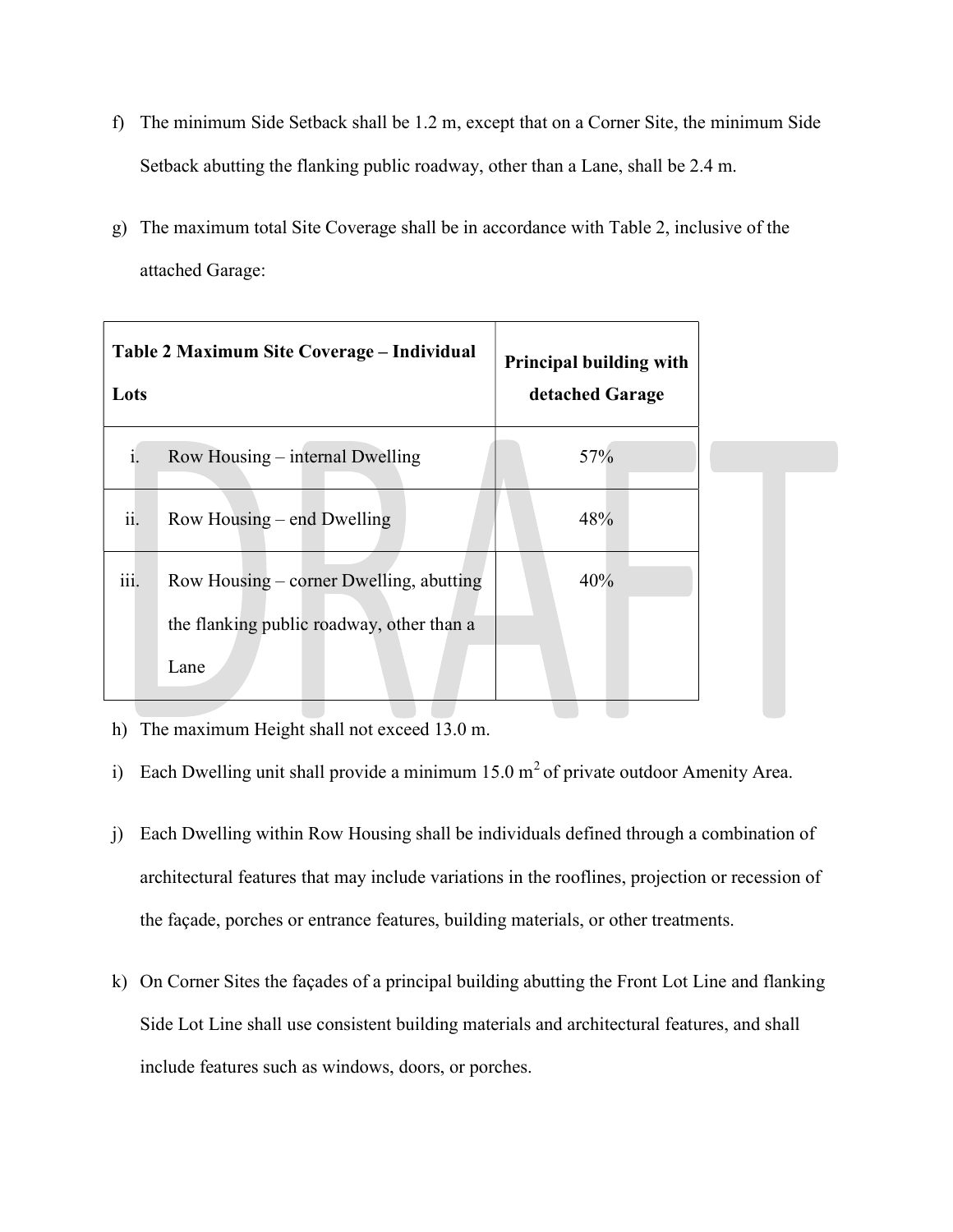- f) The minimum Side Setback shall be 1.2 m, except that on a Corner Site, the minimum Side Setback abutting the flanking public roadway, other than a Lane, shall be 2.4 m.
- g) The maximum total Site Coverage shall be in accordance with Table 2, inclusive of the attached Garage:

| Table 2 Maximum Site Coverage – Individual<br>Lots                                                   | <b>Principal building with</b><br>detached Garage |
|------------------------------------------------------------------------------------------------------|---------------------------------------------------|
| Row Housing – internal Dwelling                                                                      | 57%                                               |
| ii.<br>Row Housing – end Dwelling                                                                    | 48%                                               |
| iii.<br>Row Housing – corner Dwelling, abutting<br>the flanking public roadway, other than a<br>Lane | 40%                                               |

h) The maximum Height shall not exceed 13.0 m.

- i) Each Dwelling unit shall provide a minimum  $15.0 \text{ m}^2$  of private outdoor Amenity Area.
- j) Each Dwelling within Row Housing shall be individuals defined through a combination of architectural features that may include variations in the rooflines, projection or recession of the façade, porches or entrance features, building materials, or other treatments.
- k) On Corner Sites the façades of a principal building abutting the Front Lot Line and flanking Side Lot Line shall use consistent building materials and architectural features, and shall include features such as windows, doors, or porches.